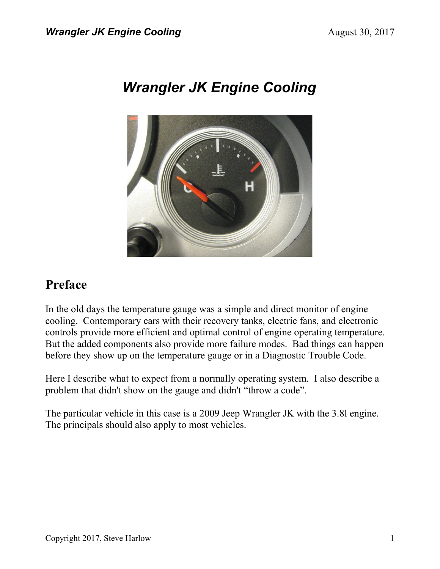# *Wrangler JK Engine Cooling*



## **Preface**

In the old days the temperature gauge was a simple and direct monitor of engine cooling. Contemporary cars with their recovery tanks, electric fans, and electronic controls provide more efficient and optimal control of engine operating temperature. But the added components also provide more failure modes. Bad things can happen before they show up on the temperature gauge or in a Diagnostic Trouble Code.

Here I describe what to expect from a normally operating system. I also describe a problem that didn't show on the gauge and didn't "throw a code".

The particular vehicle in this case is a 2009 Jeep Wrangler JK with the 3.8l engine. The principals should also apply to most vehicles.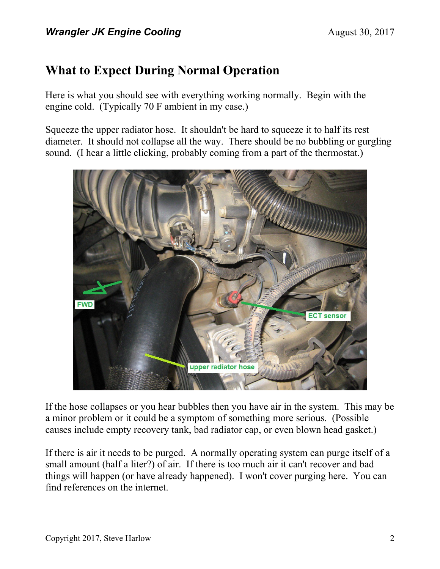# **What to Expect During Normal Operation**

Here is what you should see with everything working normally. Begin with the engine cold. (Typically 70 F ambient in my case.)

Squeeze the upper radiator hose. It shouldn't be hard to squeeze it to half its rest diameter. It should not collapse all the way. There should be no bubbling or gurgling sound. (I hear a little clicking, probably coming from a part of the thermostat.)



If the hose collapses or you hear bubbles then you have air in the system. This may be a minor problem or it could be a symptom of something more serious. (Possible causes include empty recovery tank, bad radiator cap, or even blown head gasket.)

If there is air it needs to be purged. A normally operating system can purge itself of a small amount (half a liter?) of air. If there is too much air it can't recover and bad things will happen (or have already happened). I won't cover purging here. You can find references on the internet.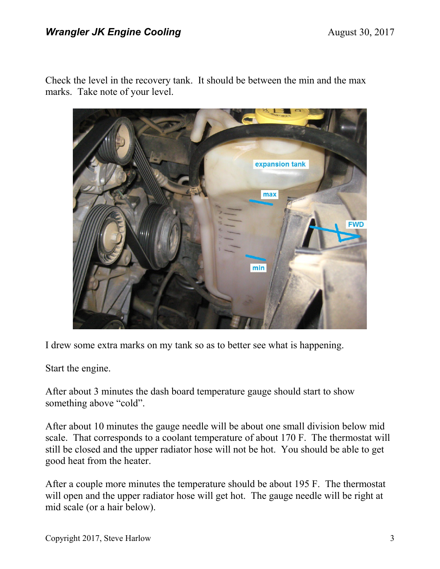Check the level in the recovery tank. It should be between the min and the max marks. Take note of your level.



I drew some extra marks on my tank so as to better see what is happening.

Start the engine.

After about 3 minutes the dash board temperature gauge should start to show something above "cold".

After about 10 minutes the gauge needle will be about one small division below mid scale. That corresponds to a coolant temperature of about 170 F. The thermostat will still be closed and the upper radiator hose will not be hot. You should be able to get good heat from the heater.

After a couple more minutes the temperature should be about 195 F. The thermostat will open and the upper radiator hose will get hot. The gauge needle will be right at mid scale (or a hair below).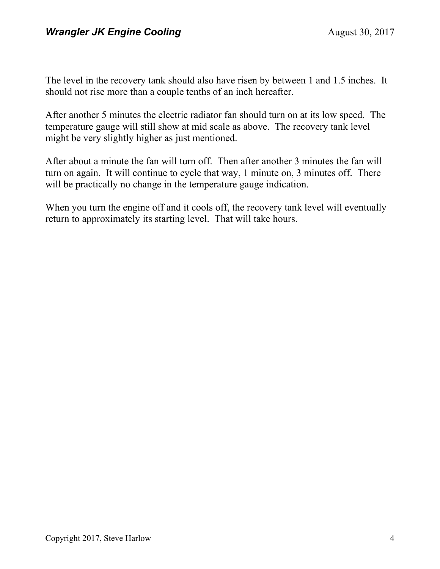The level in the recovery tank should also have risen by between 1 and 1.5 inches. It should not rise more than a couple tenths of an inch hereafter.

After another 5 minutes the electric radiator fan should turn on at its low speed. The temperature gauge will still show at mid scale as above. The recovery tank level might be very slightly higher as just mentioned.

After about a minute the fan will turn off. Then after another 3 minutes the fan will turn on again. It will continue to cycle that way, 1 minute on, 3 minutes off. There will be practically no change in the temperature gauge indication.

When you turn the engine off and it cools off, the recovery tank level will eventually return to approximately its starting level. That will take hours.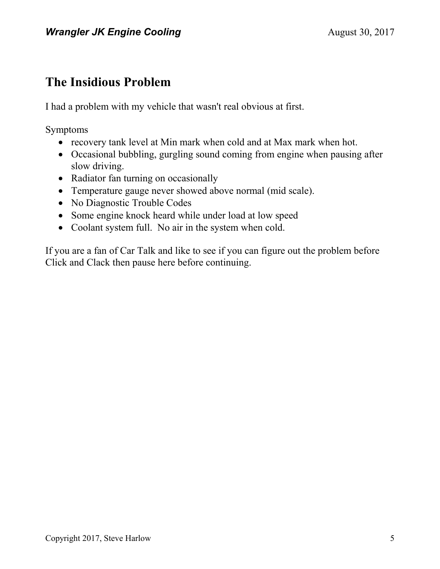## **The Insidious Problem**

I had a problem with my vehicle that wasn't real obvious at first.

Symptoms

- recovery tank level at Min mark when cold and at Max mark when hot.
- Occasional bubbling, gurgling sound coming from engine when pausing after slow driving.
- Radiator fan turning on occasionally
- Temperature gauge never showed above normal (mid scale).
- No Diagnostic Trouble Codes
- Some engine knock heard while under load at low speed
- Coolant system full. No air in the system when cold.

If you are a fan of Car Talk and like to see if you can figure out the problem before Click and Clack then pause here before continuing.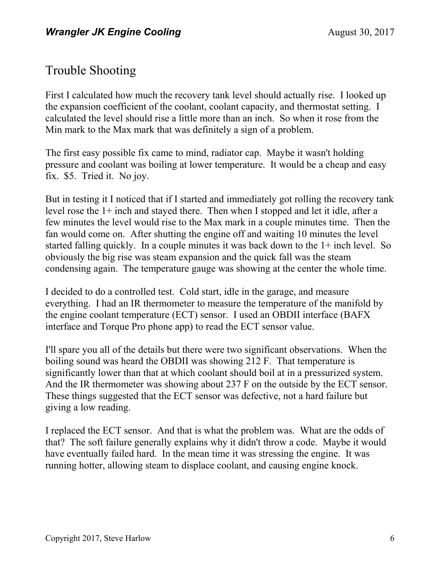## Trouble Shooting

First I calculated how much the recovery tank level should actually rise. I looked up the expansion coefficient of the coolant, coolant capacity, and thermostat setting. I calculated the level should rise a little more than an inch. So when it rose from the Min mark to the Max mark that was definitely a sign of a problem.

The first easy possible fix came to mind, radiator cap. Maybe it wasn't holding pressure and coolant was boiling at lower temperature. It would be a cheap and easy fix. \$5. Tried it. No joy.

But in testing it I noticed that if I started and immediately got rolling the recovery tank level rose the 1+ inch and stayed there. Then when I stopped and let it idle, after a few minutes the level would rise to the Max mark in a couple minutes time. Then the fan would come on. After shutting the engine off and waiting 10 minutes the level started falling quickly. In a couple minutes it was back down to the 1+ inch level. So obviously the big rise was steam expansion and the quick fall was the steam condensing again. The temperature gauge was showing at the center the whole time.

I decided to do a controlled test. Cold start, idle in the garage, and measure everything. I had an IR thermometer to measure the temperature of the manifold by the engine coolant temperature (ECT) sensor. I used an OBDII interface (BAFX interface and Torque Pro phone app) to read the ECT sensor value.

I'll spare you all of the details but there were two significant observations. When the boiling sound was heard the OBDII was showing 212 F. That temperature is significantly lower than that at which coolant should boil at in a pressurized system. And the IR thermometer was showing about 237 F on the outside by the ECT sensor. These things suggested that the ECT sensor was defective, not a hard failure but giving a low reading.

I replaced the ECT sensor. And that is what the problem was. What are the odds of that? The soft failure generally explains why it didn't throw a code. Maybe it would have eventually failed hard. In the mean time it was stressing the engine. It was running hotter, allowing steam to displace coolant, and causing engine knock.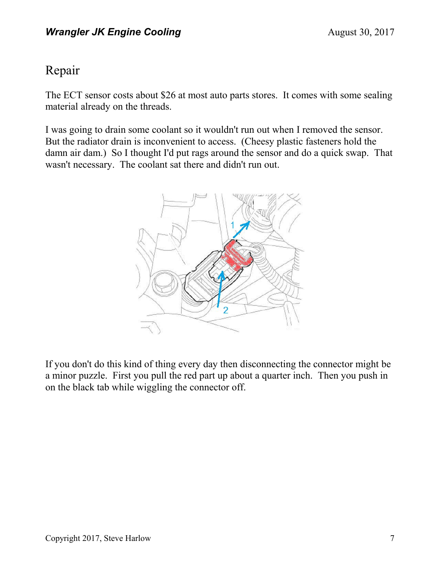#### Repair

The ECT sensor costs about \$26 at most auto parts stores. It comes with some sealing material already on the threads.

I was going to drain some coolant so it wouldn't run out when I removed the sensor. But the radiator drain is inconvenient to access. (Cheesy plastic fasteners hold the damn air dam.) So I thought I'd put rags around the sensor and do a quick swap. That wasn't necessary. The coolant sat there and didn't run out.



If you don't do this kind of thing every day then disconnecting the connector might be a minor puzzle. First you pull the red part up about a quarter inch. Then you push in on the black tab while wiggling the connector off.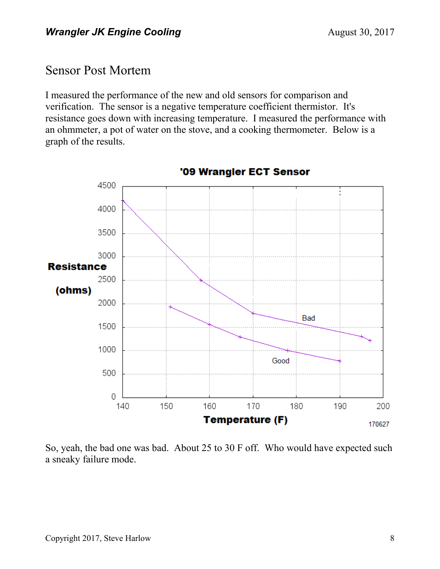#### Sensor Post Mortem

I measured the performance of the new and old sensors for comparison and verification. The sensor is a negative temperature coefficient thermistor. It's resistance goes down with increasing temperature. I measured the performance with an ohmmeter, a pot of water on the stove, and a cooking thermometer. Below is a graph of the results.



'09 Wrangler ECT Sensor

So, yeah, the bad one was bad. About 25 to 30 F off. Who would have expected such a sneaky failure mode.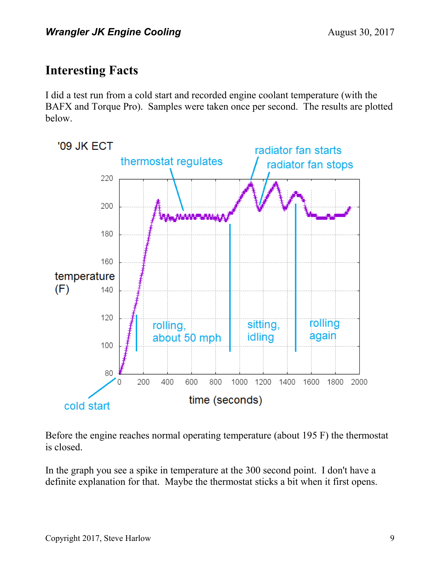## **Interesting Facts**

I did a test run from a cold start and recorded engine coolant temperature (with the BAFX and Torque Pro). Samples were taken once per second. The results are plotted below.



Before the engine reaches normal operating temperature (about 195 F) the thermostat is closed.

In the graph you see a spike in temperature at the 300 second point. I don't have a definite explanation for that. Maybe the thermostat sticks a bit when it first opens.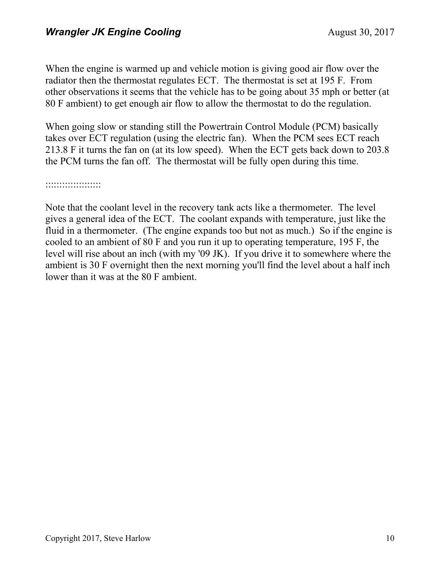When the engine is warmed up and vehicle motion is giving good air flow over the radiator then the thermostat regulates ECT. The thermostat is set at 195 F. From other observations it seems that the vehicle has to be going about 35 mph or better (at 80 F ambient) to get enough air flow to allow the thermostat to do the regulation.

When going slow or standing still the Powertrain Control Module (PCM) basically takes over ECT regulation (using the electric fan). When the PCM sees ECT reach 213.8 F it turns the fan on (at its low speed). When the ECT gets back down to 203.8 the PCM turns the fan off. The thermostat will be fully open during this time.

::::::::::::::::::::

Note that the coolant level in the recovery tank acts like a thermometer. The level gives a general idea of the ECT. The coolant expands with temperature, just like the fluid in a thermometer. (The engine expands too but not as much.) So if the engine is cooled to an ambient of 80 F and you run it up to operating temperature, 195 F, the level will rise about an inch (with my '09 JK). If you drive it to somewhere where the ambient is 30 F overnight then the next morning you'll find the level about a half inch lower than it was at the 80 F ambient.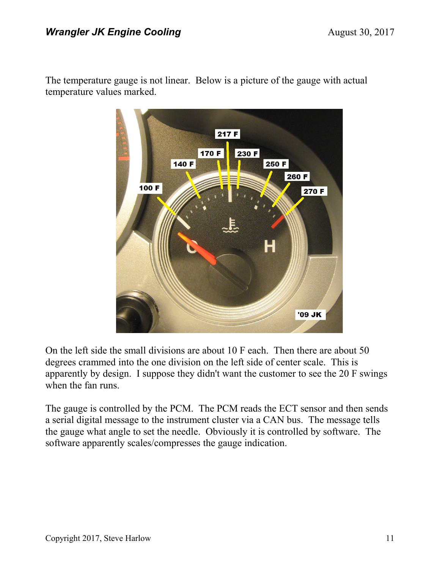The temperature gauge is not linear. Below is a picture of the gauge with actual temperature values marked.



On the left side the small divisions are about 10 F each. Then there are about 50 degrees crammed into the one division on the left side of center scale. This is apparently by design. I suppose they didn't want the customer to see the 20 F swings when the fan runs.

The gauge is controlled by the PCM. The PCM reads the ECT sensor and then sends a serial digital message to the instrument cluster via a CAN bus. The message tells the gauge what angle to set the needle. Obviously it is controlled by software. The software apparently scales/compresses the gauge indication.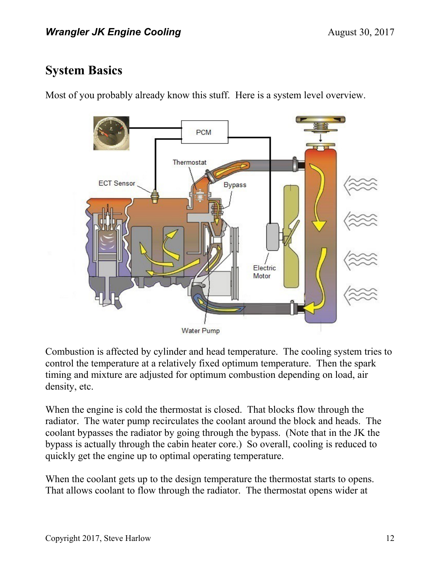#### **System Basics**

Most of you probably already know this stuff. Here is a system level overview.



Combustion is affected by cylinder and head temperature. The cooling system tries to control the temperature at a relatively fixed optimum temperature. Then the spark timing and mixture are adjusted for optimum combustion depending on load, air density, etc.

When the engine is cold the thermostat is closed. That blocks flow through the radiator. The water pump recirculates the coolant around the block and heads. The coolant bypasses the radiator by going through the bypass. (Note that in the JK the bypass is actually through the cabin heater core.) So overall, cooling is reduced to quickly get the engine up to optimal operating temperature.

When the coolant gets up to the design temperature the thermostat starts to opens. That allows coolant to flow through the radiator. The thermostat opens wider at